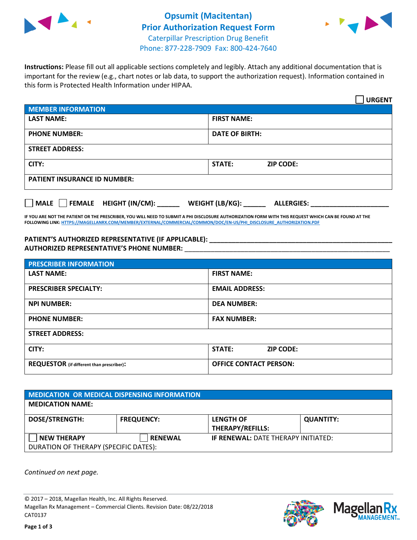



**Instructions:** Please fill out all applicable sections completely and legibly. Attach any additional documentation that is important for the review (e.g., chart notes or lab data, to support the authorization request). Information contained in this form is Protected Health Information under HIPAA.

|                                       | <b>URGENT</b>                        |  |  |  |
|---------------------------------------|--------------------------------------|--|--|--|
| <b>MEMBER INFORMATION</b>             |                                      |  |  |  |
| <b>LAST NAME:</b>                     | <b>FIRST NAME:</b>                   |  |  |  |
| <b>PHONE NUMBER:</b>                  | <b>DATE OF BIRTH:</b>                |  |  |  |
| <b>STREET ADDRESS:</b>                |                                      |  |  |  |
| CITY:                                 | STATE:<br><b>ZIP CODE:</b>           |  |  |  |
| <b>PATIENT INSURANCE ID NUMBER:</b>   |                                      |  |  |  |
| FEMALE HEIGHT (IN/CM):<br><b>MALE</b> | WEIGHT (LB/KG):<br><b>ALLERGIES:</b> |  |  |  |

**IF YOU ARE NOT THE PATIENT OR THE PRESCRIBER, YOU WILL NEED TO SUBMIT A PHI DISCLOSURE AUTHORIZATION FORM WITH THIS REQUEST WHICH CAN BE FOUND AT THE FOLLOWING LINK[: HTTPS://MAGELLANRX.COM/MEMBER/EXTERNAL/COMMERCIAL/COMMON/DOC/EN-US/PHI\\_DISCLOSURE\\_AUTHORIZATION.PDF](https://magellanrx.com/member/external/commercial/common/doc/en-us/PHI_Disclosure_Authorization.pdf)**

**PATIENT'S AUTHORIZED REPRESENTATIVE (IF APPLICABLE): \_\_\_\_\_\_\_\_\_\_\_\_\_\_\_\_\_\_\_\_\_\_\_\_\_\_\_\_\_\_\_\_\_\_\_\_\_\_\_\_\_\_\_\_\_\_\_\_\_ AUTHORIZED REPRESENTATIVE'S PHONE NUMBER:** \_\_\_\_\_\_\_\_\_\_\_\_\_\_\_\_\_\_\_\_\_\_\_\_\_\_\_\_\_\_\_\_\_\_\_\_\_\_\_\_\_\_\_\_\_\_\_\_\_\_\_\_\_\_\_

| <b>PRESCRIBER INFORMATION</b>             |                               |  |  |  |
|-------------------------------------------|-------------------------------|--|--|--|
| <b>LAST NAME:</b>                         | <b>FIRST NAME:</b>            |  |  |  |
| <b>PRESCRIBER SPECIALTY:</b>              | <b>EMAIL ADDRESS:</b>         |  |  |  |
| <b>NPI NUMBER:</b>                        | <b>DEA NUMBER:</b>            |  |  |  |
| <b>PHONE NUMBER:</b>                      | <b>FAX NUMBER:</b>            |  |  |  |
| <b>STREET ADDRESS:</b>                    |                               |  |  |  |
| CITY:                                     | STATE:<br><b>ZIP CODE:</b>    |  |  |  |
| REQUESTOR (if different than prescriber): | <b>OFFICE CONTACT PERSON:</b> |  |  |  |

| <b>MEDICATION OR MEDICAL DISPENSING INFORMATION</b> |                   |                                            |                  |  |  |
|-----------------------------------------------------|-------------------|--------------------------------------------|------------------|--|--|
| <b>MEDICATION NAME:</b>                             |                   |                                            |                  |  |  |
| <b>DOSE/STRENGTH:</b>                               | <b>FREQUENCY:</b> | <b>LENGTH OF</b>                           | <b>QUANTITY:</b> |  |  |
|                                                     |                   | <b>THERAPY/REFILLS:</b>                    |                  |  |  |
| <b>NEW THERAPY</b>                                  | <b>RENEWAL</b>    | <b>IF RENEWAL: DATE THERAPY INITIATED:</b> |                  |  |  |
| DURATION OF THERAPY (SPECIFIC DATES):               |                   |                                            |                  |  |  |

*Continued on next page.*

© 2017 – 2018, Magellan Health, Inc. All Rights Reserved. Magellan Rx Management – Commercial Clients. Revision Date: 08/22/2018 CAT0137



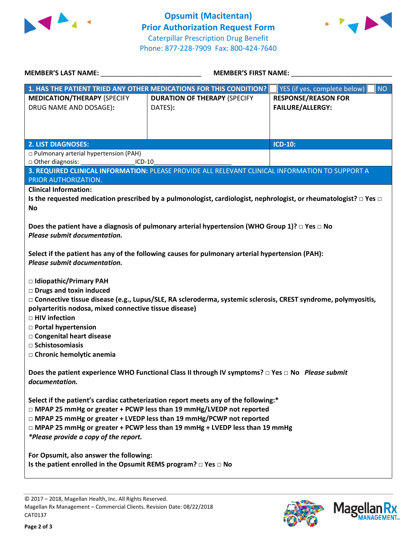



| <b>MEMBER'S LAST NAME:</b>                                                                        | <b>MEMBER'S FIRST NAME:</b>                                                                                                 |                                           |  |  |  |
|---------------------------------------------------------------------------------------------------|-----------------------------------------------------------------------------------------------------------------------------|-------------------------------------------|--|--|--|
|                                                                                                   | 1. HAS THE PATIENT TRIED ANY OTHER MEDICATIONS FOR THIS CONDITION?                                                          | <b>NO</b><br>YES (if yes, complete below) |  |  |  |
| <b>MEDICATION/THERAPY (SPECIFY</b>                                                                | <b>DURATION OF THERAPY (SPECIFY</b>                                                                                         | <b>RESPONSE/REASON FOR</b>                |  |  |  |
| DRUG NAME AND DOSAGE):                                                                            | DATES):                                                                                                                     | <b>FAILURE/ALLERGY:</b>                   |  |  |  |
|                                                                                                   |                                                                                                                             |                                           |  |  |  |
|                                                                                                   |                                                                                                                             |                                           |  |  |  |
| <b>2. LIST DIAGNOSES:</b>                                                                         |                                                                                                                             | <b>ICD-10:</b>                            |  |  |  |
| p Pulmonary arterial hypertension (PAH)<br>□ Other diagnosis:<br>$ICD-10$                         |                                                                                                                             |                                           |  |  |  |
|                                                                                                   | 3. REQUIRED CLINICAL INFORMATION: PLEASE PROVIDE ALL RELEVANT CLINICAL INFORMATION TO SUPPORT A                             |                                           |  |  |  |
| PRIOR AUTHORIZATION.                                                                              |                                                                                                                             |                                           |  |  |  |
| <b>Clinical Information:</b>                                                                      |                                                                                                                             |                                           |  |  |  |
| <b>No</b>                                                                                         | Is the requested medication prescribed by a pulmonologist, cardiologist, nephrologist, or rheumatologist? $\Box$ Yes $\Box$ |                                           |  |  |  |
|                                                                                                   |                                                                                                                             |                                           |  |  |  |
|                                                                                                   | Does the patient have a diagnosis of pulmonary arterial hypertension (WHO Group 1)? $\square$ Yes $\square$ No              |                                           |  |  |  |
| Please submit documentation.                                                                      |                                                                                                                             |                                           |  |  |  |
|                                                                                                   | Select if the patient has any of the following causes for pulmonary arterial hypertension (PAH):                            |                                           |  |  |  |
| Please submit documentation.                                                                      |                                                                                                                             |                                           |  |  |  |
|                                                                                                   |                                                                                                                             |                                           |  |  |  |
| □ Idiopathic/Primary PAH                                                                          |                                                                                                                             |                                           |  |  |  |
| <b>Drugs and toxin induced</b>                                                                    |                                                                                                                             |                                           |  |  |  |
| polyarteritis nodosa, mixed connective tissue disease)                                            | □ Connective tissue disease (e.g., Lupus/SLE, RA scleroderma, systemic sclerosis, CREST syndrome, polymyositis,             |                                           |  |  |  |
| $\Box$ HIV infection                                                                              |                                                                                                                             |                                           |  |  |  |
| □ Portal hypertension                                                                             |                                                                                                                             |                                           |  |  |  |
| □ Congenital heart disease                                                                        |                                                                                                                             |                                           |  |  |  |
| $\Box$ Schistosomiasis<br>□ Chronic hemolytic anemia                                              |                                                                                                                             |                                           |  |  |  |
|                                                                                                   |                                                                                                                             |                                           |  |  |  |
| Does the patient experience WHO Functional Class II through IV symptoms? □ Yes □ No Please submit |                                                                                                                             |                                           |  |  |  |
| documentation.                                                                                    |                                                                                                                             |                                           |  |  |  |
| Select if the patient's cardiac catheterization report meets any of the following:*               |                                                                                                                             |                                           |  |  |  |
| □ MPAP 25 mmHg or greater + PCWP less than 19 mmHg/LVEDP not reported                             |                                                                                                                             |                                           |  |  |  |
| □ MPAP 25 mmHg or greater + LVEDP less than 19 mmHg/PCWP not reported                             |                                                                                                                             |                                           |  |  |  |
| $\Box$ MPAP 25 mmHg or greater + PCWP less than 19 mmHg + LVEDP less than 19 mmHg                 |                                                                                                                             |                                           |  |  |  |
| *Please provide a copy of the report.                                                             |                                                                                                                             |                                           |  |  |  |
| For Opsumit, also answer the following:                                                           |                                                                                                                             |                                           |  |  |  |
| Is the patient enrolled in the Opsumit REMS program? $\Box$ Yes $\Box$ No                         |                                                                                                                             |                                           |  |  |  |
|                                                                                                   |                                                                                                                             |                                           |  |  |  |